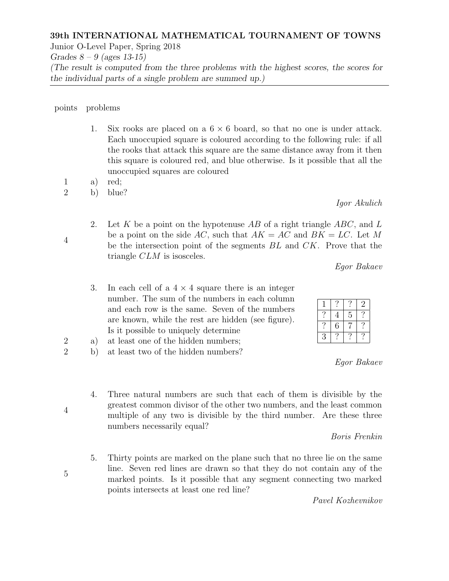## 39th INTERNATIONAL MATHEMATICAL TOURNAMENT OF TOWNS

Junior O-Level Paper, Spring 2018

Grades  $8 - 9$  (ages 13-15)

(The result is computed from the three problems with the highest scores, the scores for the individual parts of a single problem are summed up.)

points problems

- 1. Six rooks are placed on a  $6 \times 6$  board, so that no one is under attack. Each unoccupied square is coloured according to the following rule: if all the rooks that attack this square are the same distance away from it then this square is coloured red, and blue otherwise. Is it possible that all the unoccupied squares are coloured
- 1 a) red;
- 2 b) blue?
	- 2. Let K be a point on the hypotenuse AB of a right triangle  $ABC$ , and L be a point on the side AC, such that  $AK = AC$  and  $BK = LC$ . Let M be the intersection point of the segments BL and CK. Prove that the triangle CLM is isosceles.

Egor Bakaev

Igor Akulich

- 3. In each cell of a  $4 \times 4$  square there is an integer number. The sum of the numbers in each column and each row is the same. Seven of the numbers are known, while the rest are hidden (see figure). Is it possible to uniquely determine
- 2 a) at least one of the hidden numbers;
- 2 b) at least two of the hidden numbers?
	- 4. Three natural numbers are such that each of them is divisible by the greatest common divisor of the other two numbers, and the least common multiple of any two is divisible by the third number. Are these three numbers necessarily equal?

Boris Frenkin

Egor Bakaev

5. Thirty points are marked on the plane such that no three lie on the same line. Seven red lines are drawn so that they do not contain any of the marked points. Is it possible that any segment connecting two marked points intersects at least one red line?

Pavel Kozhevnikov

|   |   |   | $\mathbf{Z}$ |
|---|---|---|--------------|
|   | 4 | 5 |              |
|   | 6 | 7 |              |
| З |   |   |              |

4

4

5